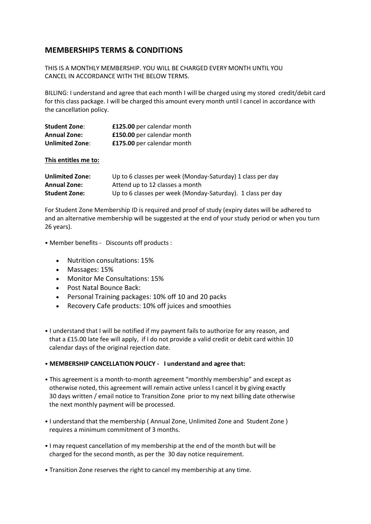## **MEMBERSHIPS TERMS & CONDITIONS**

THIS IS A MONTHLY MEMBERSHIP. YOU WILL BE CHARGED EVERY MONTH UNTIL YOU CANCEL IN ACCORDANCE WITH THE BELOW TERMS.

BILLING: I understand and agree that each month I will be charged using my stored credit/debit card for this class package. I will be charged this amount every month until I cancel in accordance with the cancellation policy.

| <b>Student Zone:</b>   | £125.00 per calendar month |
|------------------------|----------------------------|
| <b>Annual Zone:</b>    | £150.00 per calendar month |
| <b>Unlimited Zone:</b> | £175.00 per calendar month |

**This entitles me to:**

| <b>Unlimited Zone:</b> | Up to 6 classes per week (Monday-Saturday) 1 class per day  |
|------------------------|-------------------------------------------------------------|
| <b>Annual Zone:</b>    | Attend up to 12 classes a month                             |
| <b>Student Zone:</b>   | Up to 6 classes per week (Monday-Saturday). 1 class per day |

For Student Zone Membership ID is required and proof of study (expiry dates will be adhered to and an alternative membership will be suggested at the end of your study period or when you turn 26 years).

• Member benefits - Discounts off products :

- Nutrition consultations: 15%
- Massages: 15%
- Monitor Me Consultations: 15%
- Post Natal Bounce Back:
- Personal Training packages: 10% off 10 and 20 packs
- Recovery Cafe products: 10% off juices and smoothies
- I understand that I will be notified if my payment fails to authorize for any reason, and that a £15.00 late fee will apply, if I do not provide a valid credit or debit card within 10 calendar days of the original rejection date.

## • **MEMBERSHIP CANCELLATION POLICY - I understand and agree that:**

- This agreement is a month-to-month agreement "monthly membership" and except as otherwise noted, this agreement will remain active unless I cancel it by giving exactly 30 days written / email notice to Transition Zone prior to my next billing date otherwise the next monthly payment will be processed.
- I understand that the membership ( Annual Zone, Unlimited Zone and Student Zone ) requires a minimum commitment of 3 months.
- I may request cancellation of my membership at the end of the month but will be charged for the second month, as per the 30 day notice requirement.
- Transition Zone reserves the right to cancel my membership at any time.